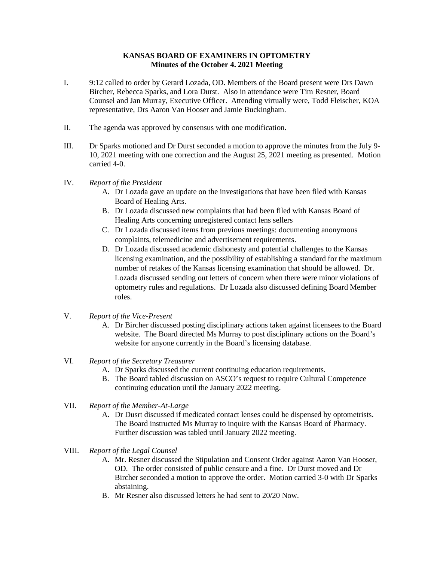## **KANSAS BOARD OF EXAMINERS IN OPTOMETRY Minutes of the October 4. 2021 Meeting**

- I. 9:12 called to order by Gerard Lozada, OD. Members of the Board present were Drs Dawn Bircher, Rebecca Sparks, and Lora Durst. Also in attendance were Tim Resner, Board Counsel and Jan Murray, Executive Officer. Attending virtually were, Todd Fleischer, KOA representative, Drs Aaron Van Hooser and Jamie Buckingham.
- II. The agenda was approved by consensus with one modification.
- III. Dr Sparks motioned and Dr Durst seconded a motion to approve the minutes from the July 9- 10, 2021 meeting with one correction and the August 25, 2021 meeting as presented. Motion carried 4-0.
- IV. *Report of the President*
	- A. Dr Lozada gave an update on the investigations that have been filed with Kansas Board of Healing Arts.
	- B. Dr Lozada discussed new complaints that had been filed with Kansas Board of Healing Arts concerning unregistered contact lens sellers
	- C. Dr Lozada discussed items from previous meetings: documenting anonymous complaints, telemedicine and advertisement requirements.
	- D. Dr Lozada discussed academic dishonesty and potential challenges to the Kansas licensing examination, and the possibility of establishing a standard for the maximum number of retakes of the Kansas licensing examination that should be allowed. Dr. Lozada discussed sending out letters of concern when there were minor violations of optometry rules and regulations. Dr Lozada also discussed defining Board Member roles.
- V. *Report of the Vice-Present*
	- A. Dr Bircher discussed posting disciplinary actions taken against licensees to the Board website. The Board directed Ms Murray to post disciplinary actions on the Board's website for anyone currently in the Board's licensing database.
- VI. *Report of the Secretary Treasurer*
	- A. Dr Sparks discussed the current continuing education requirements.
	- B. The Board tabled discussion on ASCO's request to require Cultural Competence continuing education until the January 2022 meeting.
- VII. *Report of the Member-At-Large*
	- A. Dr Dusrt discussed if medicated contact lenses could be dispensed by optometrists. The Board instructed Ms Murray to inquire with the Kansas Board of Pharmacy. Further discussion was tabled until January 2022 meeting.
- VIII. *Report of the Legal Counsel*
	- A. Mr. Resner discussed the Stipulation and Consent Order against Aaron Van Hooser, OD. The order consisted of public censure and a fine. Dr Durst moved and Dr Bircher seconded a motion to approve the order. Motion carried 3-0 with Dr Sparks abstaining.
	- B. Mr Resner also discussed letters he had sent to 20/20 Now.